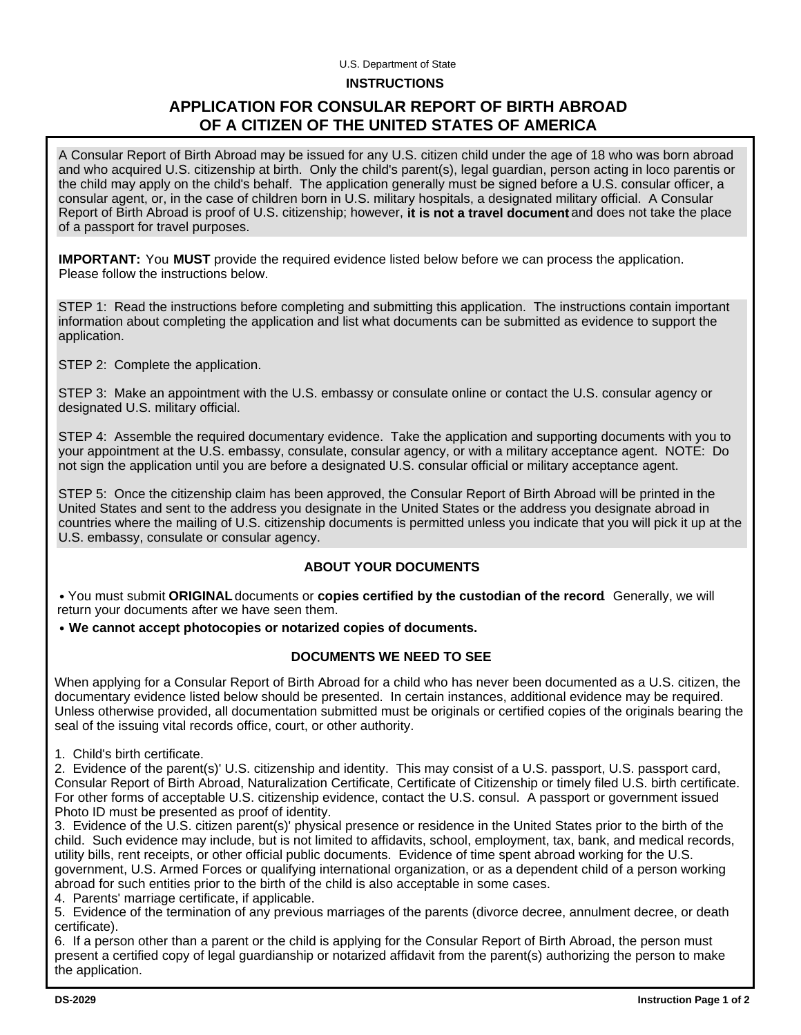## U.S. Department of State

#### **INSTRUCTIONS**

## **APPLICATION FOR CONSULAR REPORT OF BIRTH ABROAD OF A CITIZEN OF THE UNITED STATES OF AMERICA**

A Consular Report of Birth Abroad may be issued for any U.S. citizen child under the age of 18 who was born abroad and who acquired U.S. citizenship at birth. Only the child's parent(s), legal guardian, person acting in loco parentis or the child may apply on the child's behalf. The application generally must be signed before a U.S. consular officer, a consular agent, or, in the case of children born in U.S. military hospitals, a designated military official. A Consular Report of Birth Abroad is proof of U.S. citizenship; however, it is not a travel document and does not take the place of a passport for travel purposes.

**IMPORTANT:** You **MUST** provide the required evidence listed below before we can process the application. Please follow the instructions below.

STEP 1: Read the instructions before completing and submitting this application. The instructions contain important information about completing the application and list what documents can be submitted as evidence to support the application.

STEP 2: Complete the application.

STEP 3: Make an appointment with the U.S. embassy or consulate online or contact the U.S. consular agency or designated U.S. military official.

STEP 4: Assemble the required documentary evidence. Take the application and supporting documents with you to your appointment at the U.S. embassy, consulate, consular agency, or with a military acceptance agent. NOTE: Do not sign the application until you are before a designated U.S. consular official or military acceptance agent.

STEP 5: Once the citizenship claim has been approved, the Consular Report of Birth Abroad will be printed in the United States and sent to the address you designate in the United States or the address you designate abroad in countries where the mailing of U.S. citizenship documents is permitted unless you indicate that you will pick it up at the U.S. embassy, consulate or consular agency.

#### **ABOUT YOUR DOCUMENTS**

• You must submit ORIGINAL documents or copies certified by the custodian of the record Generally, we will return your documents after we have seen them.

**We cannot accept photocopies or notarized copies of documents.**

#### **DOCUMENTS WE NEED TO SEE**

When applying for a Consular Report of Birth Abroad for a child who has never been documented as a U.S. citizen, the documentary evidence listed below should be presented. In certain instances, additional evidence may be required. Unless otherwise provided, all documentation submitted must be originals or certified copies of the originals bearing the seal of the issuing vital records office, court, or other authority.

1. Child's birth certificate.

2. Evidence of the parent(s)' U.S. citizenship and identity. This may consist of a U.S. passport, U.S. passport card, Consular Report of Birth Abroad, Naturalization Certificate, Certificate of Citizenship or timely filed U.S. birth certificate. For other forms of acceptable U.S. citizenship evidence, contact the U.S. consul. A passport or government issued Photo ID must be presented as proof of identity.

3. Evidence of the U.S. citizen parent(s)' physical presence or residence in the United States prior to the birth of the child. Such evidence may include, but is not limited to affidavits, school, employment, tax, bank, and medical records, utility bills, rent receipts, or other official public documents. Evidence of time spent abroad working for the U.S. government, U.S. Armed Forces or qualifying international organization, or as a dependent child of a person working abroad for such entities prior to the birth of the child is also acceptable in some cases.

4. Parents' marriage certificate, if applicable.

5. Evidence of the termination of any previous marriages of the parents (divorce decree, annulment decree, or death certificate).

6. If a person other than a parent or the child is applying for the Consular Report of Birth Abroad, the person must present a certified copy of legal guardianship or notarized affidavit from the parent(s) authorizing the person to make the application.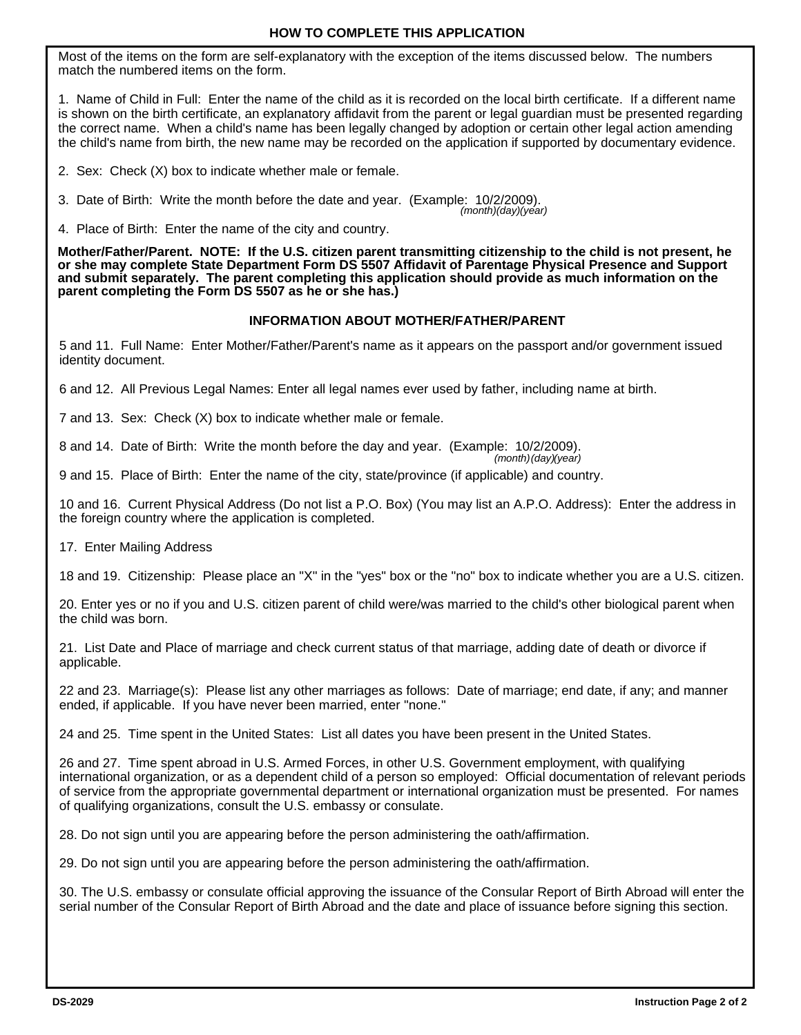Most of the items on the form are self-explanatory with the exception of the items discussed below. The numbers match the numbered items on the form.

1. Name of Child in Full: Enter the name of the child as it is recorded on the local birth certificate. If a different name is shown on the birth certificate, an explanatory affidavit from the parent or legal guardian must be presented regarding the correct name. When a child's name has been legally changed by adoption or certain other legal action amending the child's name from birth, the new name may be recorded on the application if supported by documentary evidence.

2. Sex: Check (X) box to indicate whether male or female.

3. Date of Birth: Write the month before the date and year. (Example: 10/2/2009). *(month)(day)(year)* 

4. Place of Birth: Enter the name of the city and country.

**Mother/Father/Parent. NOTE: If the U.S. citizen parent transmitting citizenship to the child is not present, he or she may complete State Department Form DS 5507 Affidavit of Parentage Physical Presence and Support and submit separately. The parent completing this application should provide as much information on the parent completing the Form DS 5507 as he or she has.)**

#### **INFORMATION ABOUT MOTHER/FATHER/PARENT**

5 and 11. Full Name: Enter Mother/Father/Parent's name as it appears on the passport and/or government issued identity document.

6 and 12. All Previous Legal Names: Enter all legal names ever used by father, including name at birth.

7 and 13. Sex: Check (X) box to indicate whether male or female.

8 and 14. Date of Birth: Write the month before the day and year. (Example: 10/2/2009).

*(month)(day)(year)* 

9 and 15. Place of Birth: Enter the name of the city, state/province (if applicable) and country.

10 and 16. Current Physical Address (Do not list a P.O. Box) (You may list an A.P.O. Address): Enter the address in the foreign country where the application is completed.

17. Enter Mailing Address

18 and 19. Citizenship: Please place an "X" in the "yes" box or the "no" box to indicate whether you are a U.S. citizen.

20. Enter yes or no if you and U.S. citizen parent of child were/was married to the child's other biological parent when the child was born.

21. List Date and Place of marriage and check current status of that marriage, adding date of death or divorce if applicable.

22 and 23. Marriage(s): Please list any other marriages as follows: Date of marriage; end date, if any; and manner ended, if applicable. If you have never been married, enter "none."

24 and 25. Time spent in the United States: List all dates you have been present in the United States.

26 and 27. Time spent abroad in U.S. Armed Forces, in other U.S. Government employment, with qualifying international organization, or as a dependent child of a person so employed: Official documentation of relevant periods of service from the appropriate governmental department or international organization must be presented. For names of qualifying organizations, consult the U.S. embassy or consulate.

28. Do not sign until you are appearing before the person administering the oath/affirmation.

29. Do not sign until you are appearing before the person administering the oath/affirmation.

30. The U.S. embassy or consulate official approving the issuance of the Consular Report of Birth Abroad will enter the serial number of the Consular Report of Birth Abroad and the date and place of issuance before signing this section.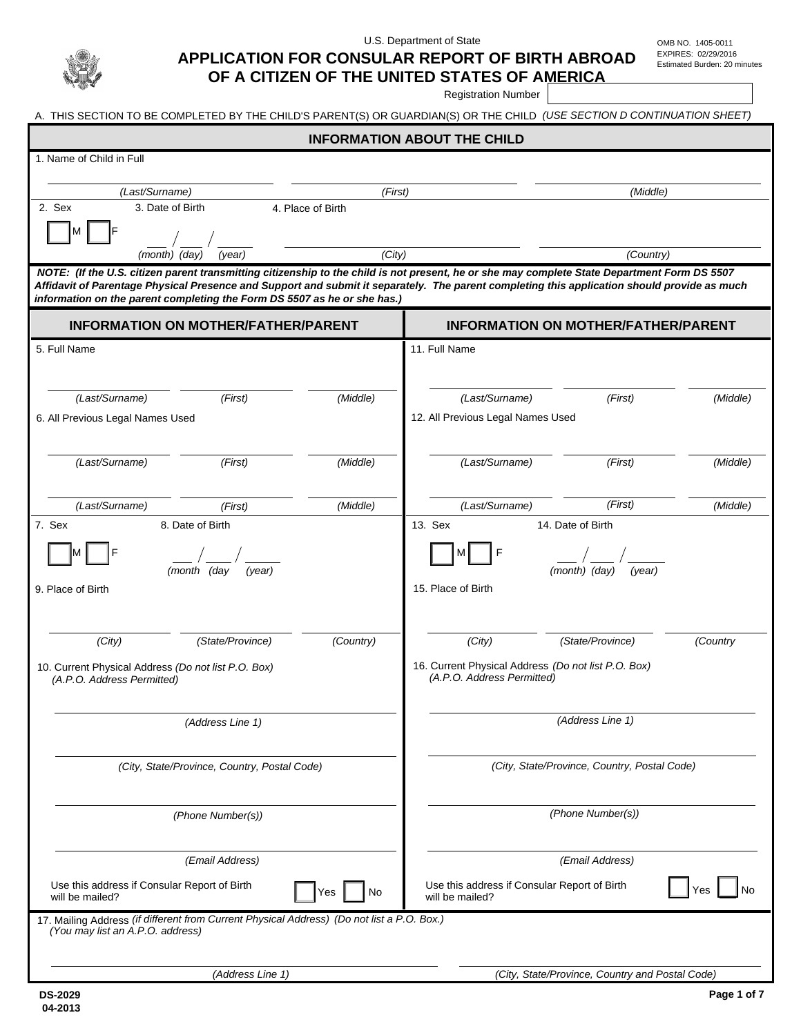

U.S. Department of State CHA COMB NO. 1405-0011

EXPIRES: 02/29/2016

# **APPLICATION FOR CONSULAR REPORT OF BIRTH ABROAD**

|                                                                                                                         |                             |                              | OF A CITIZEN OF THE UNITED STATES OF AMERICA<br><b>Registration Number</b> |                                                                                                                                                                                                                                                                                              | Estimated Burden: 20 minutes |  |
|-------------------------------------------------------------------------------------------------------------------------|-----------------------------|------------------------------|----------------------------------------------------------------------------|----------------------------------------------------------------------------------------------------------------------------------------------------------------------------------------------------------------------------------------------------------------------------------------------|------------------------------|--|
| A. THIS SECTION TO BE COMPLETED BY THE CHILD'S PARENT(S) OR GUARDIAN(S) OR THE CHILD (USE SECTION D CONTINUATION SHEET) |                             |                              |                                                                            |                                                                                                                                                                                                                                                                                              |                              |  |
|                                                                                                                         |                             |                              | <b>INFORMATION ABOUT THE CHILD</b>                                         |                                                                                                                                                                                                                                                                                              |                              |  |
| 1. Name of Child in Full                                                                                                |                             |                              |                                                                            |                                                                                                                                                                                                                                                                                              |                              |  |
|                                                                                                                         |                             |                              |                                                                            |                                                                                                                                                                                                                                                                                              |                              |  |
| (Last/Surname)<br>2. Sex<br>3. Date of Birth                                                                            |                             | (First)<br>4. Place of Birth |                                                                            | (Middle)                                                                                                                                                                                                                                                                                     |                              |  |
| M                                                                                                                       |                             |                              |                                                                            |                                                                                                                                                                                                                                                                                              |                              |  |
| (month) (day)                                                                                                           | (year)                      | (City)                       |                                                                            | (Country)                                                                                                                                                                                                                                                                                    |                              |  |
| information on the parent completing the Form DS 5507 as he or she has.)                                                |                             |                              |                                                                            | NOTE: (If the U.S. citizen parent transmitting citizenship to the child is not present, he or she may complete State Department Form DS 5507<br>Affidavit of Parentage Physical Presence and Support and submit it separately. The parent completing this application should provide as much |                              |  |
| <b>INFORMATION ON MOTHER/FATHER/PARENT</b>                                                                              |                             |                              | <b>INFORMATION ON MOTHER/FATHER/PARENT</b>                                 |                                                                                                                                                                                                                                                                                              |                              |  |
| 5. Full Name                                                                                                            |                             |                              | 11. Full Name                                                              |                                                                                                                                                                                                                                                                                              |                              |  |
|                                                                                                                         |                             |                              |                                                                            |                                                                                                                                                                                                                                                                                              |                              |  |
| (Last/Surname)                                                                                                          | (First)                     | (Middle)                     | (Last/Surname)                                                             | (First)                                                                                                                                                                                                                                                                                      | (Middle)                     |  |
| 6. All Previous Legal Names Used                                                                                        |                             |                              | 12. All Previous Legal Names Used                                          |                                                                                                                                                                                                                                                                                              |                              |  |
|                                                                                                                         |                             |                              |                                                                            |                                                                                                                                                                                                                                                                                              |                              |  |
| (Last/Surname)                                                                                                          | (First)                     | (Middle)                     | (Last/Surname)                                                             | (First)                                                                                                                                                                                                                                                                                      | (Middle)                     |  |
|                                                                                                                         |                             |                              |                                                                            |                                                                                                                                                                                                                                                                                              |                              |  |
| (Last/Surname)                                                                                                          | (First)                     | (Middle)                     | (Last/Surname)                                                             | (First)                                                                                                                                                                                                                                                                                      | (Middle)                     |  |
| 7. Sex                                                                                                                  | 8. Date of Birth<br>13. Sex |                              |                                                                            | 14. Date of Birth                                                                                                                                                                                                                                                                            |                              |  |
|                                                                                                                         | (month (day<br>(year)       |                              | Μ                                                                          | (month) (day)<br>(year)                                                                                                                                                                                                                                                                      |                              |  |
| 9. Place of Birth                                                                                                       |                             |                              | 15. Place of Birth                                                         |                                                                                                                                                                                                                                                                                              |                              |  |
| (City)                                                                                                                  | (State/Province)            | (Country)                    | (City)                                                                     | (State/Province)                                                                                                                                                                                                                                                                             | (Country                     |  |
| 10. Current Physical Address (Do not list P.O. Box)<br>(A.P.O. Address Permitted)                                       |                             |                              | (A.P.O. Address Permitted)                                                 | 16. Current Physical Address (Do not list P.O. Box)                                                                                                                                                                                                                                          |                              |  |
| (Address Line 1)                                                                                                        |                             |                              | (Address Line 1)                                                           |                                                                                                                                                                                                                                                                                              |                              |  |

*(City, State/Province, Country, Postal Code)*

*(Phone Number(s))* 

*(Email Address)* 

Use this address if Consular Report of Birth will be mailed?

17. Mailing Address *(if different from Current Physical Address) (Do not list a P.O. Box.) (You may list an A.P.O. address)* 

*(Address Line 1) (City, State/Province, Country and Postal Code)*

*(Phone Number(s))*

*(Email Address)*

Yes No Use this address if Consular Report of Birth Ves No No<br>
Will be mailed?

*(City, State/Province, Country, Postal Code)*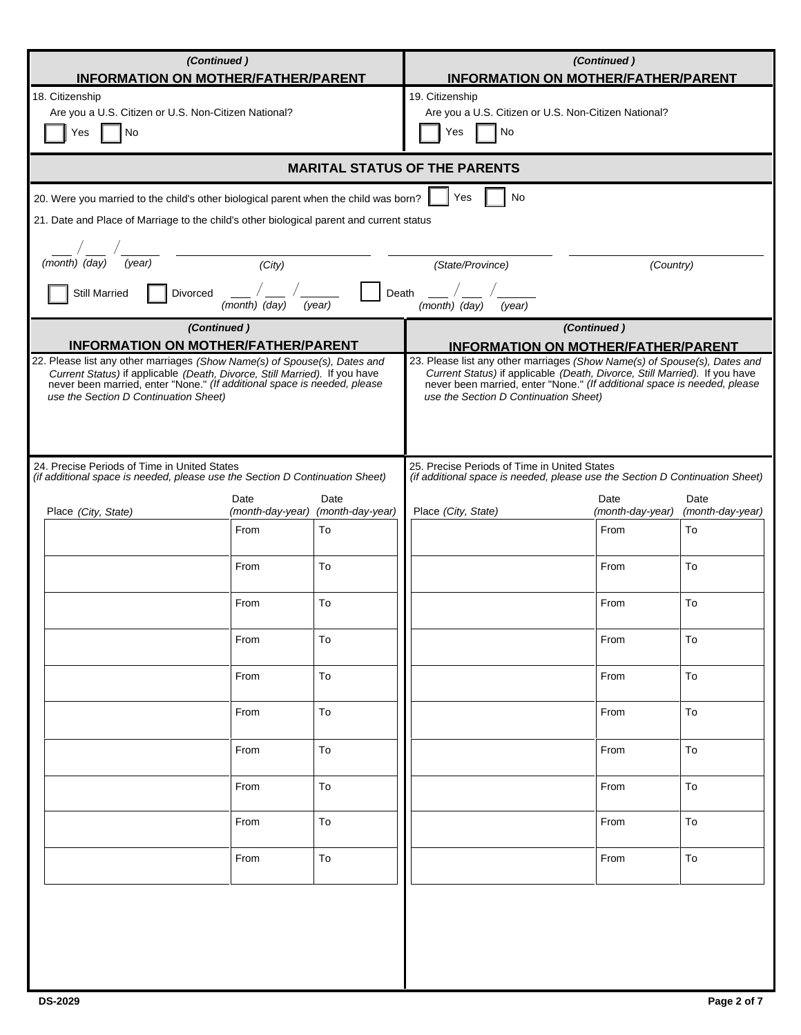| (Continued)<br><b>INFORMATION ON MOTHER/FATHER/PARENT</b>                                                                                                                                                                                                                                                                  |                     |                                                                                                                                                                                                                                                                                                                            | (Continued)<br><b>INFORMATION ON MOTHER/FATHER/PARENT</b>                            |                          |                          |
|----------------------------------------------------------------------------------------------------------------------------------------------------------------------------------------------------------------------------------------------------------------------------------------------------------------------------|---------------------|----------------------------------------------------------------------------------------------------------------------------------------------------------------------------------------------------------------------------------------------------------------------------------------------------------------------------|--------------------------------------------------------------------------------------|--------------------------|--------------------------|
| 18. Citizenship<br>Are you a U.S. Citizen or U.S. Non-Citizen National?<br>No<br>Yes                                                                                                                                                                                                                                       |                     |                                                                                                                                                                                                                                                                                                                            | 19. Citizenship<br>Are you a U.S. Citizen or U.S. Non-Citizen National?<br>No<br>Yes |                          |                          |
|                                                                                                                                                                                                                                                                                                                            |                     |                                                                                                                                                                                                                                                                                                                            | <b>MARITAL STATUS OF THE PARENTS</b>                                                 |                          |                          |
| 20. Were you married to the child's other biological parent when the child was born?                                                                                                                                                                                                                                       |                     |                                                                                                                                                                                                                                                                                                                            | No<br>Yes                                                                            |                          |                          |
| 21. Date and Place of Marriage to the child's other biological parent and current status                                                                                                                                                                                                                                   |                     |                                                                                                                                                                                                                                                                                                                            |                                                                                      |                          |                          |
|                                                                                                                                                                                                                                                                                                                            |                     |                                                                                                                                                                                                                                                                                                                            |                                                                                      |                          |                          |
| (month) (day)<br>(year)                                                                                                                                                                                                                                                                                                    | $\overline{(City)}$ |                                                                                                                                                                                                                                                                                                                            | (State/Province)<br>(Country)                                                        |                          |                          |
| Death<br><b>Still Married</b><br>Divorced<br>(month) (day)<br>$(month)$ $(day)$<br>(year)<br>(year)                                                                                                                                                                                                                        |                     |                                                                                                                                                                                                                                                                                                                            |                                                                                      |                          |                          |
| (Continued)                                                                                                                                                                                                                                                                                                                |                     |                                                                                                                                                                                                                                                                                                                            |                                                                                      | (Continued)              |                          |
| <b>INFORMATION ON MOTHER/FATHER/PARENT</b><br>22. Please list any other marriages (Show Name(s) of Spouse(s), Dates and<br>Current Status) if applicable (Death, Divorce, Still Married). If you have<br>never been married, enter "None." (If additional space is needed, please<br>use the Section D Continuation Sheet) |                     | <b>INFORMATION ON MOTHER/FATHER/PARENT</b><br>23. Please list any other marriages (Show Name(s) of Spouse(s), Dates and<br>Current Status) if applicable (Death, Divorce, Still Married). If you have<br>never been married, enter "None." (If additional space is needed, please<br>use the Section D Continuation Sheet) |                                                                                      |                          |                          |
| 24. Precise Periods of Time in United States<br>(if additional space is needed, please use the Section D Continuation Sheet)                                                                                                                                                                                               |                     | 25. Precise Periods of Time in United States<br>(if additional space is needed, please use the Section D Continuation Sheet)                                                                                                                                                                                               |                                                                                      |                          |                          |
| Place (City, State)                                                                                                                                                                                                                                                                                                        | Date                | Date<br>(month-day-year) (month-day-year)                                                                                                                                                                                                                                                                                  | Place (City, State)                                                                  | Date<br>(month-day-year) | Date<br>(month-day-year) |
|                                                                                                                                                                                                                                                                                                                            | From                | To                                                                                                                                                                                                                                                                                                                         |                                                                                      | From                     | To                       |
|                                                                                                                                                                                                                                                                                                                            | From                | To                                                                                                                                                                                                                                                                                                                         |                                                                                      | From                     | To                       |
|                                                                                                                                                                                                                                                                                                                            | From                | To                                                                                                                                                                                                                                                                                                                         |                                                                                      | From                     | To                       |
|                                                                                                                                                                                                                                                                                                                            | From                | To                                                                                                                                                                                                                                                                                                                         |                                                                                      | From                     | To                       |
|                                                                                                                                                                                                                                                                                                                            | From                | To                                                                                                                                                                                                                                                                                                                         |                                                                                      | From                     | To                       |
|                                                                                                                                                                                                                                                                                                                            | From                | To                                                                                                                                                                                                                                                                                                                         |                                                                                      | From                     | To                       |
|                                                                                                                                                                                                                                                                                                                            | From                | To                                                                                                                                                                                                                                                                                                                         |                                                                                      | From                     | To                       |
|                                                                                                                                                                                                                                                                                                                            | From                | To                                                                                                                                                                                                                                                                                                                         |                                                                                      | From                     | To                       |
|                                                                                                                                                                                                                                                                                                                            | From                | To                                                                                                                                                                                                                                                                                                                         |                                                                                      | From                     | To                       |
|                                                                                                                                                                                                                                                                                                                            | From                | To                                                                                                                                                                                                                                                                                                                         |                                                                                      | From                     | To                       |
|                                                                                                                                                                                                                                                                                                                            |                     |                                                                                                                                                                                                                                                                                                                            |                                                                                      |                          |                          |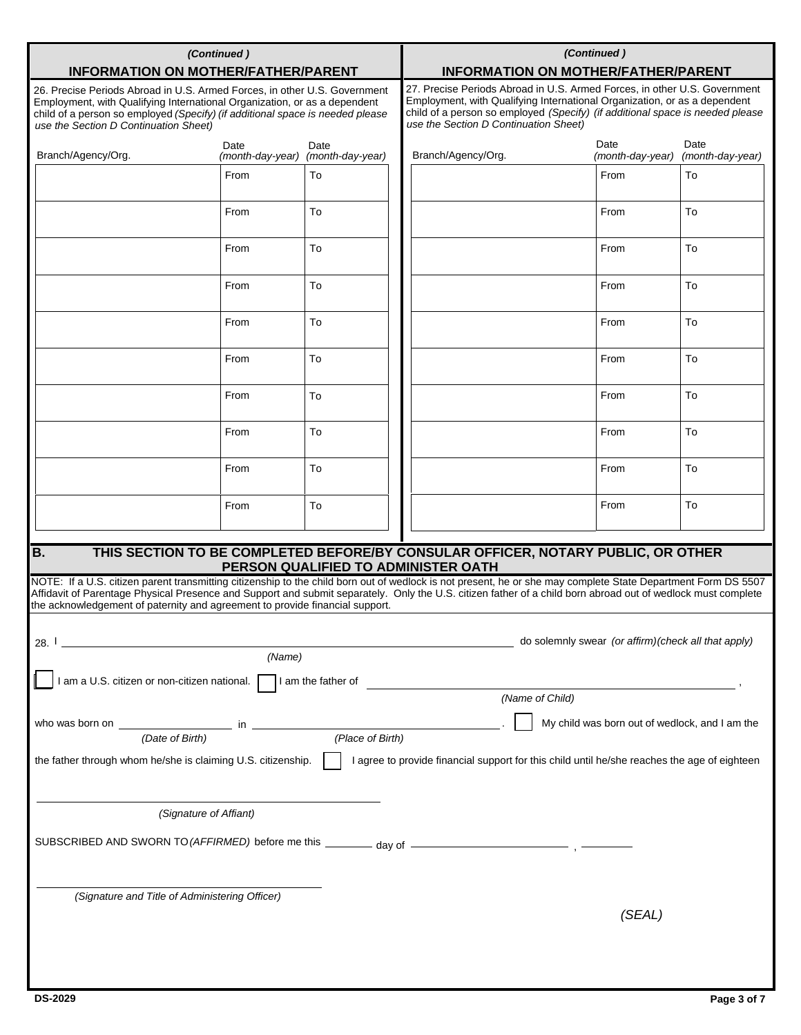| (Continued)<br><b>INFORMATION ON MOTHER/FATHER/PARENT</b>                                                                                                                                                                                                                                                                     |        |                                           | (Continued)<br><b>INFORMATION ON MOTHER/FATHER/PARENT</b>                                                                                                                                                                                                                        |                                                                                  |                                                     |                          |
|-------------------------------------------------------------------------------------------------------------------------------------------------------------------------------------------------------------------------------------------------------------------------------------------------------------------------------|--------|-------------------------------------------|----------------------------------------------------------------------------------------------------------------------------------------------------------------------------------------------------------------------------------------------------------------------------------|----------------------------------------------------------------------------------|-----------------------------------------------------|--------------------------|
| 26. Precise Periods Abroad in U.S. Armed Forces, in other U.S. Government<br>Employment, with Qualifying International Organization, or as a dependent<br>child of a person so employed (Specify) (if additional space is needed please<br>use the Section D Continuation Sheet)                                              |        |                                           | 27. Precise Periods Abroad in U.S. Armed Forces, in other U.S. Government<br>Employment, with Qualifying International Organization, or as a dependent<br>child of a person so employed (Specify) (if additional space is needed please<br>use the Section D Continuation Sheet) |                                                                                  |                                                     |                          |
| Branch/Agency/Org.                                                                                                                                                                                                                                                                                                            | Date   | Date<br>(month-day-year) (month-day-year) |                                                                                                                                                                                                                                                                                  | Branch/Agency/Org.                                                               | Date<br>(month-day-year)                            | Date<br>(month-day-year) |
|                                                                                                                                                                                                                                                                                                                               | From   | To                                        |                                                                                                                                                                                                                                                                                  |                                                                                  | From                                                | To                       |
|                                                                                                                                                                                                                                                                                                                               | From   | To                                        |                                                                                                                                                                                                                                                                                  |                                                                                  | From                                                | To                       |
|                                                                                                                                                                                                                                                                                                                               | From   | To                                        |                                                                                                                                                                                                                                                                                  |                                                                                  | From                                                | To                       |
|                                                                                                                                                                                                                                                                                                                               | From   | To                                        |                                                                                                                                                                                                                                                                                  |                                                                                  | From                                                | To                       |
|                                                                                                                                                                                                                                                                                                                               | From   | To                                        |                                                                                                                                                                                                                                                                                  |                                                                                  | From                                                | To                       |
|                                                                                                                                                                                                                                                                                                                               | From   | To                                        |                                                                                                                                                                                                                                                                                  |                                                                                  | From                                                | To                       |
|                                                                                                                                                                                                                                                                                                                               | From   | To                                        |                                                                                                                                                                                                                                                                                  |                                                                                  | From                                                | To                       |
|                                                                                                                                                                                                                                                                                                                               | From   | To                                        |                                                                                                                                                                                                                                                                                  |                                                                                  | From                                                | To                       |
|                                                                                                                                                                                                                                                                                                                               | From   | To                                        |                                                                                                                                                                                                                                                                                  |                                                                                  | From                                                | To                       |
|                                                                                                                                                                                                                                                                                                                               | From   | To                                        |                                                                                                                                                                                                                                                                                  |                                                                                  | From                                                | To                       |
| $\overline{B}$ .                                                                                                                                                                                                                                                                                                              |        |                                           |                                                                                                                                                                                                                                                                                  | THIS SECTION TO BE COMPLETED BEFORE/BY CONSULAR OFFICER, NOTARY PUBLIC, OR OTHER |                                                     |                          |
| NOTE: If a U.S. citizen parent transmitting citizenship to the child born out of wedlock is not present, he or she may complete State Department Form DS 5507<br>Affidavit of Parentage Physical Presence and Support and submit separately. Only the U.S. citizen father of a child born abroad out of wedlock must complete |        | PERSON QUALIFIED TO ADMINISTER OATH       |                                                                                                                                                                                                                                                                                  |                                                                                  |                                                     |                          |
| the acknowledgement of paternity and agreement to provide financial support.                                                                                                                                                                                                                                                  |        |                                           |                                                                                                                                                                                                                                                                                  |                                                                                  |                                                     |                          |
| 28. l                                                                                                                                                                                                                                                                                                                         | (Name) |                                           |                                                                                                                                                                                                                                                                                  |                                                                                  | do solemnly swear (or affirm)(check all that apply) |                          |
| I am a U.S. citizen or non-citizen national. I am the father of                                                                                                                                                                                                                                                               |        |                                           |                                                                                                                                                                                                                                                                                  |                                                                                  |                                                     |                          |
|                                                                                                                                                                                                                                                                                                                               |        |                                           |                                                                                                                                                                                                                                                                                  | (Name of Child)                                                                  |                                                     |                          |
|                                                                                                                                                                                                                                                                                                                               |        |                                           |                                                                                                                                                                                                                                                                                  |                                                                                  | My child was born out of wedlock, and I am the      |                          |
| who was born on $\frac{ }{(Date \ of \ Birth)}$ in $\frac{ }{(Place \ of \ Birth)}$<br>(Place of Birth)                                                                                                                                                                                                                       |        |                                           |                                                                                                                                                                                                                                                                                  |                                                                                  |                                                     |                          |
| the father through whom he/she is claiming U.S. citizenship.<br>I agree to provide financial support for this child until he/she reaches the age of eighteen                                                                                                                                                                  |        |                                           |                                                                                                                                                                                                                                                                                  |                                                                                  |                                                     |                          |
| (Signature of Affiant)                                                                                                                                                                                                                                                                                                        |        |                                           |                                                                                                                                                                                                                                                                                  |                                                                                  |                                                     |                          |
|                                                                                                                                                                                                                                                                                                                               |        |                                           |                                                                                                                                                                                                                                                                                  |                                                                                  |                                                     |                          |
| SUBSCRIBED AND SWORN TO (AFFIRMED) before me this ________ day of ______________                                                                                                                                                                                                                                              |        |                                           |                                                                                                                                                                                                                                                                                  |                                                                                  |                                                     |                          |
| (Signature and Title of Administering Officer)                                                                                                                                                                                                                                                                                |        |                                           |                                                                                                                                                                                                                                                                                  |                                                                                  |                                                     |                          |
|                                                                                                                                                                                                                                                                                                                               |        |                                           |                                                                                                                                                                                                                                                                                  |                                                                                  | (SEAL)                                              |                          |
|                                                                                                                                                                                                                                                                                                                               |        |                                           |                                                                                                                                                                                                                                                                                  |                                                                                  |                                                     |                          |
|                                                                                                                                                                                                                                                                                                                               |        |                                           |                                                                                                                                                                                                                                                                                  |                                                                                  |                                                     |                          |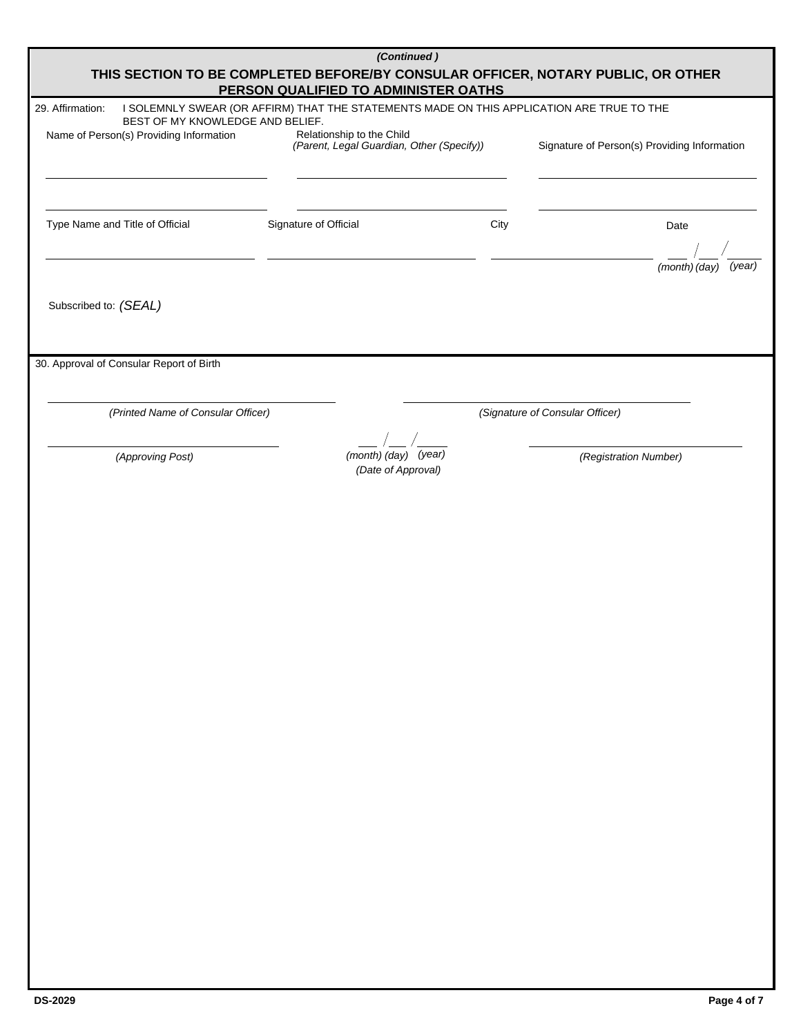| (Continued)<br>THIS SECTION TO BE COMPLETED BEFORE/BY CONSULAR OFFICER, NOTARY PUBLIC, OR OTHER<br>PERSON QUALIFIED TO ADMINISTER OATHS |                                                                                           |      |                                              |  |  |  |
|-----------------------------------------------------------------------------------------------------------------------------------------|-------------------------------------------------------------------------------------------|------|----------------------------------------------|--|--|--|
| 29. Affirmation:                                                                                                                        | I SOLEMNLY SWEAR (OR AFFIRM) THAT THE STATEMENTS MADE ON THIS APPLICATION ARE TRUE TO THE |      |                                              |  |  |  |
| BEST OF MY KNOWLEDGE AND BELIEF.                                                                                                        |                                                                                           |      |                                              |  |  |  |
| Name of Person(s) Providing Information                                                                                                 | Relationship to the Child<br>(Parent, Legal Guardian, Other (Specify))                    |      | Signature of Person(s) Providing Information |  |  |  |
| Type Name and Title of Official                                                                                                         | Signature of Official                                                                     | City | Date                                         |  |  |  |
|                                                                                                                                         |                                                                                           |      | (month) (day)<br>(year)                      |  |  |  |
| Subscribed to: (SEAL)                                                                                                                   |                                                                                           |      |                                              |  |  |  |
| 30. Approval of Consular Report of Birth                                                                                                |                                                                                           |      |                                              |  |  |  |
| (Printed Name of Consular Officer)                                                                                                      |                                                                                           |      | (Signature of Consular Officer)              |  |  |  |
|                                                                                                                                         |                                                                                           |      |                                              |  |  |  |
| (Approving Post)                                                                                                                        | (month) (day) (year)<br>(Date of Approval)                                                |      | (Registration Number)                        |  |  |  |
|                                                                                                                                         |                                                                                           |      |                                              |  |  |  |
|                                                                                                                                         |                                                                                           |      |                                              |  |  |  |
|                                                                                                                                         |                                                                                           |      |                                              |  |  |  |
|                                                                                                                                         |                                                                                           |      |                                              |  |  |  |
|                                                                                                                                         |                                                                                           |      |                                              |  |  |  |
|                                                                                                                                         |                                                                                           |      |                                              |  |  |  |
|                                                                                                                                         |                                                                                           |      |                                              |  |  |  |
|                                                                                                                                         |                                                                                           |      |                                              |  |  |  |
|                                                                                                                                         |                                                                                           |      |                                              |  |  |  |
|                                                                                                                                         |                                                                                           |      |                                              |  |  |  |
|                                                                                                                                         |                                                                                           |      |                                              |  |  |  |
|                                                                                                                                         |                                                                                           |      |                                              |  |  |  |
|                                                                                                                                         |                                                                                           |      |                                              |  |  |  |
|                                                                                                                                         |                                                                                           |      |                                              |  |  |  |
|                                                                                                                                         |                                                                                           |      |                                              |  |  |  |
|                                                                                                                                         |                                                                                           |      |                                              |  |  |  |
|                                                                                                                                         |                                                                                           |      |                                              |  |  |  |
|                                                                                                                                         |                                                                                           |      |                                              |  |  |  |
|                                                                                                                                         |                                                                                           |      |                                              |  |  |  |
|                                                                                                                                         |                                                                                           |      |                                              |  |  |  |
|                                                                                                                                         |                                                                                           |      |                                              |  |  |  |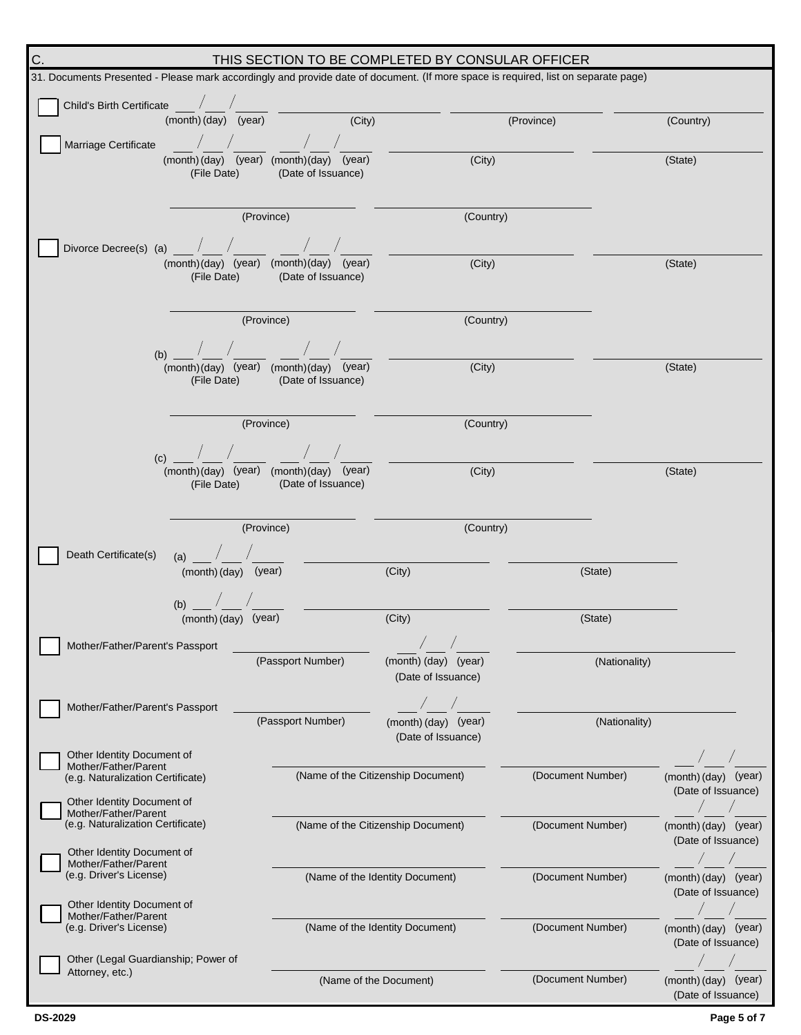| C.<br>THIS SECTION TO BE COMPLETED BY CONSULAR OFFICER                                                                             |                                                               |                                    |                   |                                            |  |  |  |
|------------------------------------------------------------------------------------------------------------------------------------|---------------------------------------------------------------|------------------------------------|-------------------|--------------------------------------------|--|--|--|
| 31. Documents Presented - Please mark accordingly and provide date of document. (If more space is required, list on separate page) |                                                               |                                    |                   |                                            |  |  |  |
| Child's Birth Certificate /                                                                                                        |                                                               |                                    |                   |                                            |  |  |  |
| (month) (day) (year)                                                                                                               | $\overline{(City)}$                                           |                                    | (Province)        | (Country)                                  |  |  |  |
| Marriage Certificate                                                                                                               |                                                               |                                    |                   |                                            |  |  |  |
|                                                                                                                                    | (month) (day) (year) (month) (day) (year)                     | (City)                             |                   | (State)                                    |  |  |  |
| (File Date)                                                                                                                        | (Date of Issuance)                                            |                                    |                   |                                            |  |  |  |
|                                                                                                                                    |                                                               |                                    |                   |                                            |  |  |  |
|                                                                                                                                    | (Province)                                                    | (Country)                          |                   |                                            |  |  |  |
|                                                                                                                                    |                                                               |                                    |                   |                                            |  |  |  |
| Divorce Decree(s) (a) $\sqrt{2}$                                                                                                   |                                                               |                                    |                   |                                            |  |  |  |
| (File Date)                                                                                                                        | (month)(day) (year) (month)(day) (year)<br>(Date of Issuance) | (City)                             |                   | (State)                                    |  |  |  |
|                                                                                                                                    |                                                               |                                    |                   |                                            |  |  |  |
|                                                                                                                                    |                                                               |                                    |                   |                                            |  |  |  |
|                                                                                                                                    | (Province)                                                    | (Country)                          |                   |                                            |  |  |  |
| (b) $\frac{1}{\sqrt{2}}$ / $\frac{1}{\sqrt{2}}$ / $\frac{1}{\sqrt{2}}$                                                             |                                                               |                                    |                   |                                            |  |  |  |
|                                                                                                                                    | (month)(day) (year) (month)(day) (year)                       | (City)                             |                   | (State)                                    |  |  |  |
| (File Date)                                                                                                                        | (Date of Issuance)                                            |                                    |                   |                                            |  |  |  |
|                                                                                                                                    |                                                               |                                    |                   |                                            |  |  |  |
|                                                                                                                                    | (Province)                                                    | (Country)                          |                   |                                            |  |  |  |
|                                                                                                                                    |                                                               |                                    |                   |                                            |  |  |  |
| $(c)$ $\qquad$                                                                                                                     | (month)(day) (year) (month)(day) (year)                       | (City)                             |                   | (State)                                    |  |  |  |
| (File Date)                                                                                                                        | (Date of Issuance)                                            |                                    |                   |                                            |  |  |  |
|                                                                                                                                    |                                                               |                                    |                   |                                            |  |  |  |
|                                                                                                                                    | (Province)                                                    | (Country)                          |                   |                                            |  |  |  |
|                                                                                                                                    |                                                               |                                    |                   |                                            |  |  |  |
| $(a)$ /<br>Death Certificate(s)                                                                                                    |                                                               |                                    |                   |                                            |  |  |  |
| (month) (day) (year)                                                                                                               |                                                               | (City)                             | (State)           |                                            |  |  |  |
| (b) $\frac{1}{2}$ /                                                                                                                |                                                               |                                    |                   |                                            |  |  |  |
| (month) (day) (year)                                                                                                               |                                                               | (City)                             | (State)           |                                            |  |  |  |
| Mother/Father/Parent's Passport                                                                                                    |                                                               |                                    |                   |                                            |  |  |  |
|                                                                                                                                    | (Passport Number)                                             | (month) (day) (year)               | (Nationality)     |                                            |  |  |  |
|                                                                                                                                    |                                                               | (Date of Issuance)                 |                   |                                            |  |  |  |
|                                                                                                                                    |                                                               |                                    |                   |                                            |  |  |  |
| Mother/Father/Parent's Passport                                                                                                    | (Passport Number)                                             | (month) (day) (year)               | (Nationality)     |                                            |  |  |  |
|                                                                                                                                    |                                                               | (Date of Issuance)                 |                   |                                            |  |  |  |
| Other Identity Document of                                                                                                         |                                                               |                                    |                   |                                            |  |  |  |
| Mother/Father/Parent<br>(e.g. Naturalization Certificate)                                                                          |                                                               | (Name of the Citizenship Document) | (Document Number) | (month) (day) (year)                       |  |  |  |
|                                                                                                                                    |                                                               |                                    |                   | (Date of Issuance)                         |  |  |  |
| Other Identity Document of<br>Mother/Father/Parent                                                                                 |                                                               |                                    |                   |                                            |  |  |  |
| (e.g. Naturalization Certificate)                                                                                                  |                                                               | (Name of the Citizenship Document) | (Document Number) | (month) (day) (year)                       |  |  |  |
| Other Identity Document of                                                                                                         |                                                               |                                    |                   | (Date of Issuance)                         |  |  |  |
| Mother/Father/Parent<br>(e.g. Driver's License)                                                                                    |                                                               |                                    |                   |                                            |  |  |  |
|                                                                                                                                    |                                                               | (Name of the Identity Document)    | (Document Number) | (month) (day) (year)<br>(Date of Issuance) |  |  |  |
| Other Identity Document of                                                                                                         |                                                               |                                    |                   |                                            |  |  |  |
| Mother/Father/Parent<br>(e.g. Driver's License)                                                                                    |                                                               | (Name of the Identity Document)    | (Document Number) | (month) (day) (year)                       |  |  |  |
|                                                                                                                                    |                                                               |                                    |                   | (Date of Issuance)                         |  |  |  |
| Other (Legal Guardianship; Power of                                                                                                |                                                               |                                    |                   |                                            |  |  |  |
| Attorney, etc.)                                                                                                                    |                                                               | (Name of the Document)             | (Document Number) | (month) (day) (year)                       |  |  |  |
|                                                                                                                                    |                                                               |                                    |                   | (Date of Issuance)                         |  |  |  |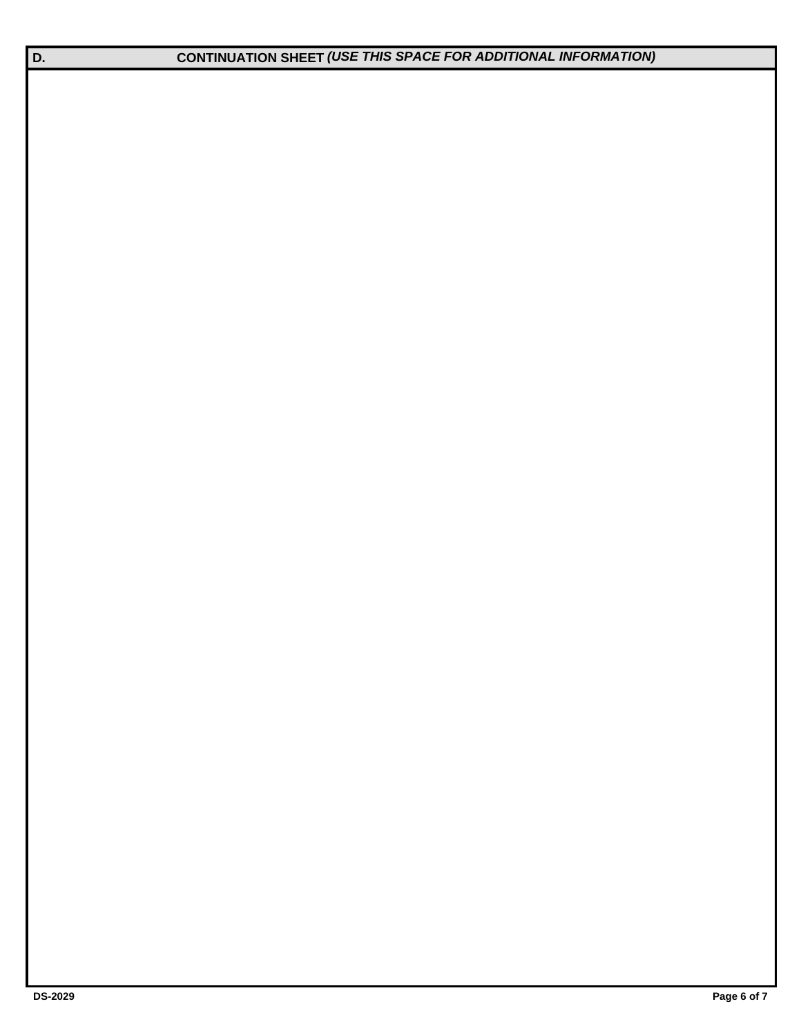**D. CONTINUATION SHEET** *(USE THIS SPACE FOR ADDITIONAL INFORMATION)*